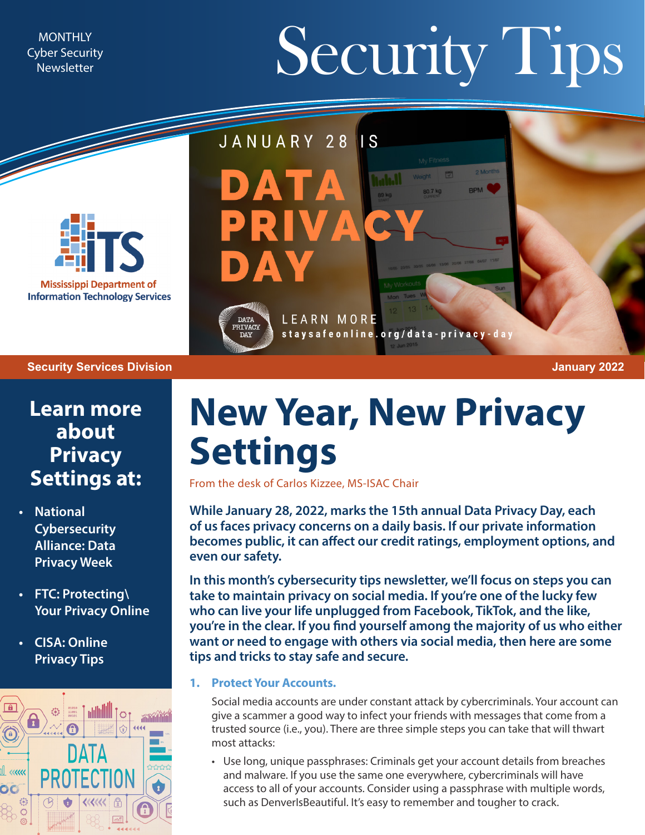Cyber Security **Newsletter** 

# MONTHLY Newsletter Security Security Tips



#### **Security Services Division January 2022**

**Learn more about Privacy Settings at:**

- **• [National](https://staysafeonline.org/data-privacy-week/about-dpw/)  [Cybersecurity](https://staysafeonline.org/data-privacy-week/about-dpw/)  [Alliance: Data](https://staysafeonline.org/data-privacy-week/about-dpw/)  [Privacy Week](https://staysafeonline.org/data-privacy-week/about-dpw/)**
- **• [FTC: Protecting\](https://www.consumer.ftc.gov/features/protecting-your-privacy-online) [Your Privacy Online](https://www.consumer.ftc.gov/features/protecting-your-privacy-online)**
- **• [CISA: Online](https://www.cisa.gov/sites/default/files/publications/NCSAM_OnlinePrivacy_2020.pdf) [Privacy Tips](https://www.cisa.gov/sites/default/files/publications/NCSAM_OnlinePrivacy_2020.pdf)**



## **New Year, New Privacy Settings**

staysafeonline.org/data-privacy-day

 $\overline{\mathsf{I}}$  S

I.h.l

From the desk of Carlos Kizzee, MS-ISAC Chair

LEARN MORE

JANUARY 28

 $\begin{array}{c} \mathtt{DATA} \\ \mathtt{PRIVACY} \\ \mathtt{DAY} \end{array}$ 

**While January 28, 2022, marks the 15th annual Data Privacy Day, each of us faces privacy concerns on a daily basis. If our private information becomes public, it can affect our credit ratings, employment options, and even our safety.**

**In this month's cybersecurity tips newsletter, we'll focus on steps you can take to maintain privacy on social media. If you're one of the lucky few who can live your life unplugged from Facebook, TikTok, and the like, you're in the clear. If you find yourself among the majority of us who either want or need to engage with others via social media, then here are some tips and tricks to stay safe and secure.**

#### **1. Protect Your Accounts.**

Social media accounts are under constant attack by cybercriminals. Your account can give a scammer a good way to infect your friends with messages that come from a trusted source (i.e., you). There are three simple steps you can take that will thwart most attacks:

• Use long, unique passphrases: Criminals get your account details from breaches and malware. If you use the same one everywhere, cybercriminals will have access to all of your accounts. Consider using a passphrase with multiple words, such as DenverIsBeautiful. It's easy to remember and tougher to crack.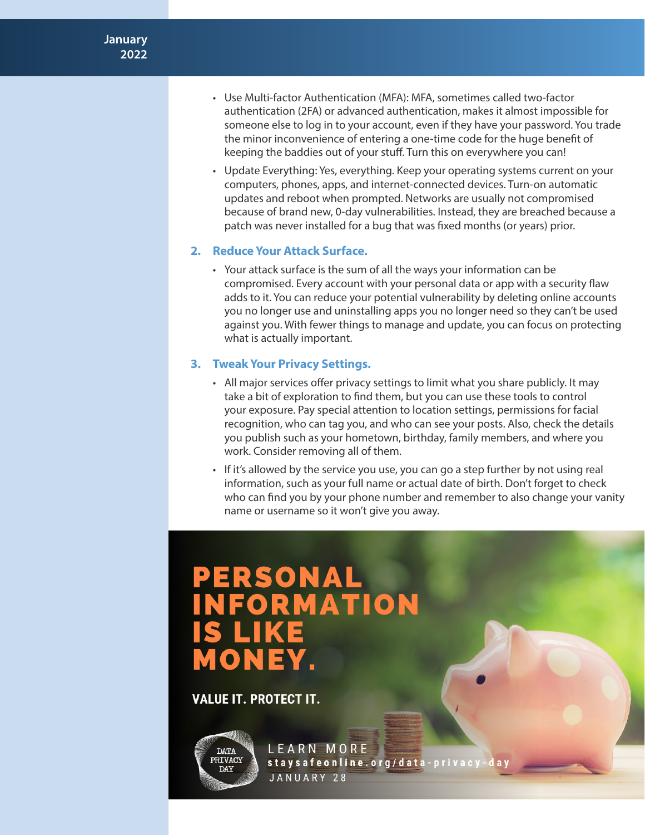- Use Multi-factor Authentication (MFA): MFA, sometimes called two-factor authentication (2FA) or advanced authentication, makes it almost impossible for someone else to log in to your account, even if they have your password. You trade the minor inconvenience of entering a one-time code for the huge benefit of keeping the baddies out of your stuff. Turn this on everywhere you can!
- Update Everything: Yes, everything. Keep your operating systems current on your computers, phones, apps, and internet-connected devices. Turn-on automatic updates and reboot when prompted. Networks are usually not compromised because of brand new, 0-day vulnerabilities. Instead, they are breached because a patch was never installed for a bug that was fixed months (or years) prior.

#### **2. Reduce Your Attack Surface.**

• Your attack surface is the sum of all the ways your information can be compromised. Every account with your personal data or app with a security flaw adds to it. You can reduce your potential vulnerability by deleting online accounts you no longer use and uninstalling apps you no longer need so they can't be used against you. With fewer things to manage and update, you can focus on protecting what is actually important.

#### **3. Tweak Your Privacy Settings.**

- All major services offer privacy settings to limit what you share publicly. It may take a bit of exploration to find them, but you can use these tools to control your exposure. Pay special attention to location settings, permissions for facial recognition, who can tag you, and who can see your posts. Also, check the details you publish such as your hometown, birthday, family members, and where you work. Consider removing all of them.
- If it's allowed by the service you use, you can go a step further by not using real information, such as your full name or actual date of birth. Don't forget to check who can find you by your phone number and remember to also change your vanity name or username so it won't give you away.

### **PERSONAL<br>INFORMATION S LIKE MONEY**

**VALUE IT. PROTECT IT.** 



LEARN MORE staysafeonline.org/data-privacy-day JANUARY 28